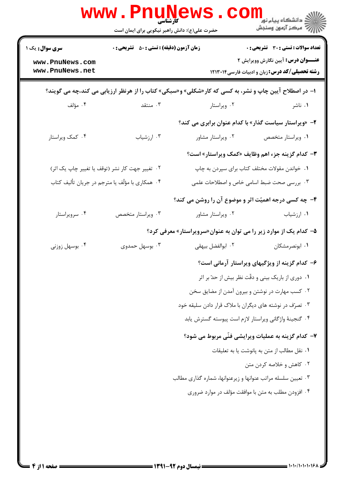|                                                              | <b>WWW.Pnunev</b><br>حضرت علی(ع): دانش راهبر نیکویی برای ایمان است |                                                                                                       | ڪ دانشڪاه پيام نور ■<br> 7- مرکز آزمون وسنجش                                                                                          |
|--------------------------------------------------------------|--------------------------------------------------------------------|-------------------------------------------------------------------------------------------------------|---------------------------------------------------------------------------------------------------------------------------------------|
| <b>سری سوال :</b> یک ۱<br>www.PnuNews.com<br>www.PnuNews.net | <b>زمان آزمون (دقیقه) : تستی : 50 ٪ تشریحی : 0</b>                 |                                                                                                       | تعداد سوالات : تستي : 30 - تشريحي : 0<br><b>عنـــوان درس:</b> آیین نگارش وویرایش ۲<br>رشته تحصیلی/کد درس: زبان و ادبیات فارسی ۱۲۱۳۰۱۴ |
|                                                              |                                                                    | ا- در اصطلاح آیین چاپ و نشر، به کسی که کار«شکلی» و«سبکی» کتاب را از هرنظر ارزیابی می کند،چه می گویند؟ |                                                                                                                                       |
| ۰۴ مؤلف                                                      | ۰۳ منتقد                                                           | ۰۲ ویراستار                                                                                           | ۰۱ ناشر                                                                                                                               |
|                                                              |                                                                    | ۲- «ویراستار سیاست گذار» با کدام عنوان برابری می کند؟                                                 |                                                                                                                                       |
| ۰۴ کمک ویراستار                                              | ۰۳ ارزشیاب                                                         | ٠٢ ويراستار مشاور                                                                                     | ٠١ ويراستار متخصص                                                                                                                     |
|                                                              |                                                                    | <b>۳</b> - کدام گزینه جزء اهم وظایف «کمک ویراستار» است؟                                               |                                                                                                                                       |
| ۰۲ تغییر جهت کار نشر (توقف یا تغییر چاپ یک اثر)              |                                                                    | ۰۱ خواندن مقولات مختلف کتاب برای سپردن به چاپ                                                         |                                                                                                                                       |
| ۰۴ همکاری با مؤلّف یا مترجم در جریان تألیف کتاب              |                                                                    | ۰۳ بررسی صحت ضبط اسامی خاص و اصطلاحات علمی                                                            |                                                                                                                                       |
|                                                              |                                                                    | ۴- چه کسی درجه اهمیّت اثر و موضوع آن را روشن می کند؟                                                  |                                                                                                                                       |
| ۰۴ سرویراستار                                                | ۰۳ ویراستار متخصص                                                  | ۰۲ ویراستار مشاور                                                                                     | ۰۱ ارزشیاب                                                                                                                            |
|                                                              |                                                                    | ۵- کدام یک از موارد زیر را می توان به عنوان«سرویراستار» معرفی کرد؟                                    |                                                                                                                                       |
| ۰۴ بوسهل زوزنی                                               | ۰۳ بوسهل حمدوی                                                     | ٠٢ ابوالفضل بيهقى                                                                                     | ۰۱ ابونصرمشکان                                                                                                                        |
|                                                              |                                                                    |                                                                                                       | ۶- کدام گزینه از ویژگیهای ویراستار آرمانی است؟                                                                                        |
|                                                              |                                                                    |                                                                                                       | ۰۱ دوری از باریک بینی و دقّت نظر بیش از حدّ بر اثر                                                                                    |
|                                                              | ۰۲ کسب مهارت در نوشتن و بیرون آمدن از مضایق سخن                    |                                                                                                       |                                                                                                                                       |
|                                                              | ۰۳ تصرّف در نوشته های دیگران با ملاک قرار دادن سلیقه خود           |                                                                                                       |                                                                                                                                       |
|                                                              |                                                                    | ۰۴ گنجینهٔ واژگانی ویراستار لازم است پیوسته گسترش یابد                                                |                                                                                                                                       |
|                                                              |                                                                    | ٧- كدام گزينه به عمليات ويرايشي فنّي مربوط مي شود؟                                                    |                                                                                                                                       |
|                                                              |                                                                    |                                                                                                       | ٠١ نقل مطالب از متن به پانوشت يا به تعليقات                                                                                           |
|                                                              |                                                                    |                                                                                                       | ۰۲ کاهش و خلاصه کردن متن                                                                                                              |
|                                                              |                                                                    | ۰۳ تعیین سلسله مراتب عنوانها و زیرعنوانها، شماره گذاری مطالب                                          |                                                                                                                                       |
|                                                              |                                                                    | ۰۴ افزودن مطلب به متن با موافقت مؤلف در موارد ضروری                                                   |                                                                                                                                       |
|                                                              |                                                                    |                                                                                                       |                                                                                                                                       |
|                                                              |                                                                    |                                                                                                       |                                                                                                                                       |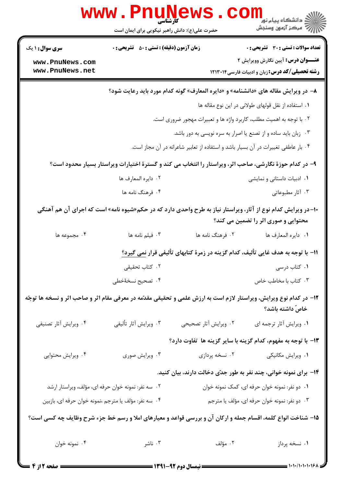|                                                                                                                                                      | <b>WWW.Pnune</b><br>حضرت علی(ع): دانش راهبر نیکویی برای ایمان است                       |                                                                                   | ڪ دانشڪاه پيا <sub>م</sub> نور<br><mark>√</mark> مرڪز آزمون وسنڊش                                        |  |  |
|------------------------------------------------------------------------------------------------------------------------------------------------------|-----------------------------------------------------------------------------------------|-----------------------------------------------------------------------------------|----------------------------------------------------------------------------------------------------------|--|--|
| <b>سری سوال : ۱ یک</b>                                                                                                                               | <b>زمان آزمون (دقیقه) : تستی : 50 ٪ تشریحی : 0</b>                                      |                                                                                   | <b>تعداد سوالات : تستی : 30 ٪ تشریحی : 0</b>                                                             |  |  |
| www.PnuNews.com                                                                                                                                      |                                                                                         |                                                                                   | <b>عنـــوان درس:</b> آیین نگارش وویرایش ۲                                                                |  |  |
| www.PnuNews.net                                                                                                                                      |                                                                                         |                                                                                   | <b>رشته تحصیلی/کد درس: زبان و ادبیات فارسی1۲۱۳۰۱۴</b>                                                    |  |  |
|                                                                                                                                                      | ٨– در ویرایش مقاله های «دانشنامه» و «دایره المعارف» گونه کدام مورد باید رعایت شود؟      |                                                                                   |                                                                                                          |  |  |
|                                                                                                                                                      | ٠١ استفاده از نقل قولهاى طولانى در اين نوع مقاله ها                                     |                                                                                   |                                                                                                          |  |  |
|                                                                                                                                                      | ۰۲ با توجه به اهمیت مطلب، کاربرد واژه ها و تعبیرات مهجور ضروری است.                     |                                                                                   |                                                                                                          |  |  |
|                                                                                                                                                      | ۰۳ زبان باید ساده و از تصنع یا اصرار به سره نویسی به دور باشد.                          |                                                                                   |                                                                                                          |  |  |
|                                                                                                                                                      |                                                                                         | ۰۴ بار عاطفی تغییرات در آن بسیار باشد و استفاده از تعابیر شاعرانه در آن مجاز است. |                                                                                                          |  |  |
|                                                                                                                                                      |                                                                                         |                                                                                   | ۹– در کدام حوزهٔ نگارشی، صاحب اثر، ویراستار را انتخاب می کند و گسترهٔ اختیارات ویراستار بسیار محدود است؟ |  |  |
|                                                                                                                                                      | ٢. دايره المعارف ها                                                                     |                                                                                   | ۰۱ ادبیات داستانی و نمایشی                                                                               |  |  |
|                                                                                                                                                      | ۰۴ فرهنگ نامه ها                                                                        |                                                                                   | ۰۳ آثار مطبوعاتی                                                                                         |  |  |
| +۱- در ویرایش کدام نوع از آثار، ویراستار نیاز به طرح واحدی دارد که در حکم«شیوه نامه» است که اجرای آن هم آهنگی<br>محتوایی و صوری اثر را تضمین می کند؟ |                                                                                         |                                                                                   |                                                                                                          |  |  |
| ۰۴ مجموعه ها                                                                                                                                         | ۰۳ فیلم نامه ها                                                                         | ۰۲ فرهنگ نامه ها                                                                  | ٠١. دايره المعارف ها                                                                                     |  |  |
|                                                                                                                                                      | ۱۱- با توجه به هدف غایی تألیف، کدام گزینه در زمرهٔ کتابهای تألیفی قرار <u>نمی گیرد؟</u> |                                                                                   |                                                                                                          |  |  |
|                                                                                                                                                      | ۰۲ کتاب تحقیقی                                                                          |                                                                                   | ۰۱ کتاب درسی                                                                                             |  |  |
|                                                                                                                                                      | ۴. تصحیح نسخهٔخطی                                                                       |                                                                                   | ۰۳ کتاب با مخاطب خاص                                                                                     |  |  |
| ۱۲- در کدام نوع ویرایش، ویراستار لازم است به ارزش علمی و تحقیقی مقدّمه در معرفی مقام اثر و صاحب اثر و نسخه ها توجّه                                  |                                                                                         |                                                                                   | خاصّ داشته باشد؟                                                                                         |  |  |
| ۰۴ ویرایش آثار تصنیفی                                                                                                                                | ۰۳ ویرایش آثار تألیفی                                                                   | ۰۲ ویرایش آثار تصحیحی                                                             | ٠١. ويرايش أثار ترجمه اي                                                                                 |  |  |
|                                                                                                                                                      |                                                                                         |                                                                                   | ۱۳– با توجه به مفهوم، کدام گزینه با سایر گزینه ها تفاوت دارد؟                                            |  |  |
| ۰۴ ویرایش محتوایی                                                                                                                                    | ۰۳ ویرایش صوری                                                                          | ۰۲ نسخه پردازی                                                                    | ۰۱ ویرایش مکانیکی                                                                                        |  |  |
|                                                                                                                                                      |                                                                                         |                                                                                   | ۱۴– برای نمونه خوانی، چند نفر به طور جدّی دخالت دارند، بیان کنید.                                        |  |  |
| ۰۲ سه نفر: نمونه خوان حرفه ای، مؤلف، ویراستار ارشد<br>۰۱ دو نفر: نمونه خوان حرفه ای، کمک نمونه خوان                                                  |                                                                                         |                                                                                   |                                                                                                          |  |  |
| ۰۴ سه نفر: مؤلف یا مترجم ،نمونه خوان حرفه ای، بازبین<br>۰۳ دو نفر: نمونه خوان حرفه ای، مؤلف یا مترجم                                                 |                                                                                         |                                                                                   |                                                                                                          |  |  |
| ۱۵– شناخت انواع کلمه، اقسام جمله و ارکان آن و بررسی قواعد و معیارهای املا و رسم خط جزء شرح وظایف چه کسی است؟                                         |                                                                                         |                                                                                   |                                                                                                          |  |  |
| ۰۴ نمونه خوان                                                                                                                                        | ۰۳ ناشر                                                                                 | ۰۲ مؤلف                                                                           | ۰۱ نسخه پرداز                                                                                            |  |  |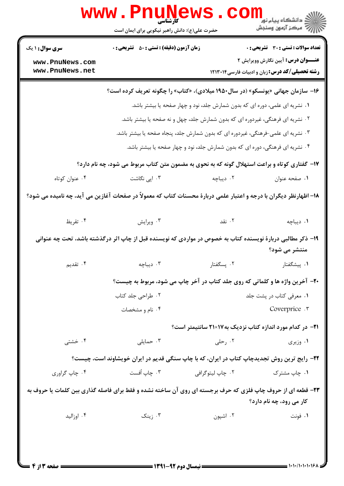|                                    | حضرت علی(ع): دانش راهبر نیکویی برای ایمان است                                                                      |                  |                                                                   |
|------------------------------------|--------------------------------------------------------------------------------------------------------------------|------------------|-------------------------------------------------------------------|
| <b>سری سوال : ۱ یک</b>             | <b>زمان آزمون (دقیقه) : تستی : 80 ٪ تشریحی : 0</b>                                                                 |                  | <b>تعداد سوالات : تستی : 30 ٪ تشریحی : 0</b>                      |
| www.PnuNews.com<br>www.PnuNews.net |                                                                                                                    |                  | <b>عنـــوان درس:</b> آیین نگارش وویرایش ۲                         |
|                                    |                                                                                                                    |                  | <b>رشته تحصیلی/کد درس: زبان و ادبیات فارسی1۲۱۳۰۱۴</b>             |
|                                    | ۱۶- سازمان جهانی «یونسکو» (در سال۱۹۵۰ میلادی)، «کتاب» را چگونه تعریف کرده است؟                                     |                  |                                                                   |
|                                    | <b>۱</b> . نشریه ای علمی، دوره ای که بدون شمارش جلد، نود و چهار صفحه یا بیشتر باشد.                                |                  |                                                                   |
|                                    | ۰۲ نشریه ای فرهنگی، غیردوره ای که بدون شمارش جلد، چهل و نه صفحه یا بیشتر باشد.                                     |                  |                                                                   |
|                                    | ۰۳ نشریه ای علمی-فرهنگی، غیردوره ای که بدون شمارش جلد، پنجاه صفحه یا بیشتر باشد.                                   |                  |                                                                   |
|                                    | ۰۴ نشریه ای فرهنگی، دوره ای که بدون شمارش جلد، نود و چهار صفحه یا بیشتر باشد.                                      |                  |                                                                   |
|                                    | ۱۷- گفتاری کوتاه و براعت استهلال گونه که به نحوی به مضمون متن کتاب مربوط می شود، چه نام دارد؟                      |                  |                                                                   |
| ۰۴ عنوان کوتاه                     | ۰۳ اپی نگاشت                                                                                                       | ۰۲ دیباچه        | ٠١ صفحه عنوان                                                     |
|                                    | ۱۸– اظهارنظر دیگران با درجه و اعتبار علمی دربارهٔ محسنات کتاب که معمولاً در صفحات آغازین می آید، چه نامیده می شود؟ |                  |                                                                   |
| ۰۴ تقریظ                           | ۰۳ ویرایش                                                                                                          | ۰۲ نقد           | ٠١ ديباچه                                                         |
|                                    | ۱۹– ذکر مطالبی دربارهٔ نویسنده کتاب به خصوص در مواردی که نویسنده قبل از چاپ اثر درگذشته باشد، تحت چه عنوانی        |                  |                                                                   |
|                                    |                                                                                                                    |                  | منتشر می شود؟                                                     |
| ۰۴ تقدیم                           | ۰۳ دیباچه                                                                                                          | ۰۲ يسگفتار       | ۰۱ ييشگفتار                                                       |
|                                    | 20- آخرین واژه ها و کلماتی که روی جلد کتاب در آخر چاپ می شود، مربوط به چیست؟                                       |                  |                                                                   |
|                                    | ۰۲ طراحی جلد کتاب                                                                                                  |                  | ٠١ معرفي كتاب در پشت جلد                                          |
|                                    | ۰۴ نام و مشخصات                                                                                                    |                  | Coverprice .r                                                     |
|                                    |                                                                                                                    |                  | <b>۲۱</b> - در کدام مورد اندازه کتاب نزدیک به ۲۱×۲۱ سانتیمتر است؟ |
| ۰۴ خشتی                            | ۰۳ حمایلی                                                                                                          | ۰۲ رحلی          | ۰۱ وزیری                                                          |
|                                    | ۲۲- رایج ترین روش تجدیدچاپ کتاب در ایران، که با چاپ سنگی قدیم در ایران خویشاوند است، چیست؟                         |                  |                                                                   |
| ۰۴ چاپ گراوري                      | ۰۳ چاپ اُفست                                                                                                       | ۰۲ چاپ لیتوگرافی | ۰۱ چاپ مشترک                                                      |
|                                    | ۲۳- قطعه ای از حروف چاپ فلزی که حرف برجسته ای روی آن ساخته نشده و فقط برای فاصله گذاری بین کلمات یا حروف به        |                  | کار می رود، چه نام دارد؟                                          |
|                                    | ۰۳ زینک                                                                                                            | ۰۲ اشپون         | ۰۱ فونت                                                           |